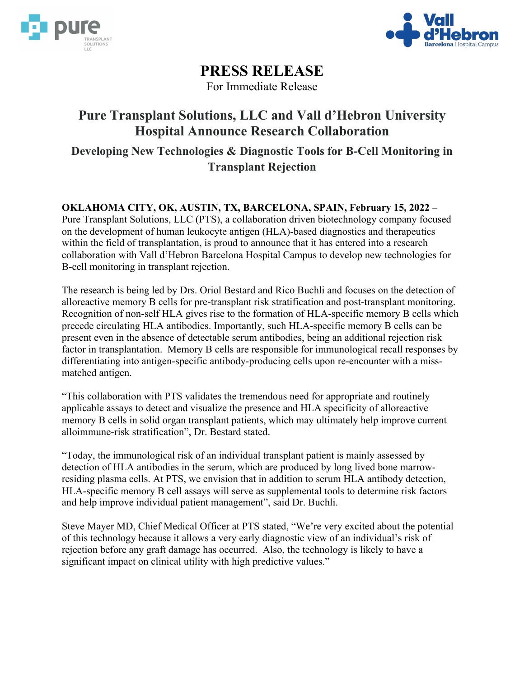



# **PRESS RELEASE**

For Immediate Release

# **Pure Transplant Solutions, LLC and Vall d'Hebron University Hospital Announce Research Collaboration**

**Developing New Technologies & Diagnostic Tools for B-Cell Monitoring in Transplant Rejection**

**OKLAHOMA CITY, OK, AUSTIN, TX, BARCELONA, SPAIN, February 15, 2022** –

Pure Transplant Solutions, LLC (PTS), a collaboration driven biotechnology company focused on the development of human leukocyte antigen (HLA)-based diagnostics and therapeutics within the field of transplantation, is proud to announce that it has entered into a research collaboration with Vall d'Hebron Barcelona Hospital Campus to develop new technologies for B-cell monitoring in transplant rejection.

The research is being led by Drs. Oriol Bestard and Rico Buchli and focuses on the detection of alloreactive memory B cells for pre-transplant risk stratification and post-transplant monitoring. Recognition of non-self HLA gives rise to the formation of HLA-specific memory B cells which precede circulating HLA antibodies. Importantly, such HLA-specific memory B cells can be present even in the absence of detectable serum antibodies, being an additional rejection risk factor in transplantation. Memory B cells are responsible for immunological recall responses by differentiating into antigen-specific antibody-producing cells upon re-encounter with a missmatched antigen.

"This collaboration with PTS validates the tremendous need for appropriate and routinely applicable assays to detect and visualize the presence and HLA specificity of alloreactive memory B cells in solid organ transplant patients, which may ultimately help improve current alloimmune-risk stratification", Dr. Bestard stated.

"Today, the immunological risk of an individual transplant patient is mainly assessed by detection of HLA antibodies in the serum, which are produced by long lived bone marrowresiding plasma cells. At PTS, we envision that in addition to serum HLA antibody detection, HLA-specific memory B cell assays will serve as supplemental tools to determine risk factors and help improve individual patient management", said Dr. Buchli.

Steve Mayer MD, Chief Medical Officer at PTS stated, "We're very excited about the potential of this technology because it allows a very early diagnostic view of an individual's risk of rejection before any graft damage has occurred. Also, the technology is likely to have a significant impact on clinical utility with high predictive values."